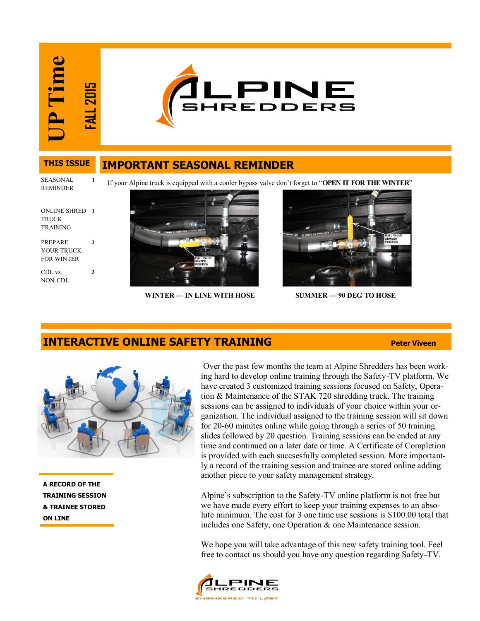**UP Time FALL 2015**



### **IMPORTANT SEASONAL REMINDER THIS ISSUE**

SEASONAL REMINDER

**1**

**2**

**3**

If your Alpine truck is equipped with a cooler bypass valve don't forget to "**OPEN IT FOR THE WINTER**"

ONLINE SHRED **1 TRUCK** TRAINING

PREPARE YOUR TRUCK FOR WINTER

CDL vs. NON-CDL



**WINTER — IN LINE WITH HOSE SUMMER — 90 DEG TO HOSE** 



# **INTERACTIVE ONLINE SAFETY TRAINING**



**A RECORD OF THE TRAINING SESSION & TRAINEE STORED ON LINE**

Over the past few months the team at Alpine Shredders has been working hard to develop online training through the Safety-TV platform. We have created 3 customized training sessions focused on Safety, Operation & Maintenance of the STAK 720 shredding truck. The training sessions can be assigned to individuals of your choice within your organization. The individual assigned to the training session will sit down for 20-60 minutes online while going through a series of 50 training slides followed by 20 question. Training sessions can be ended at any time and continued on a later date or time. A Certificate of Completion is provided with each succsesfully completed session. More importantly a record of the training session and trainee are stored online adding another piece to your safety management strategy.

Alpine's subscription to the Safety-TV online platform is not free but we have made every effort to keep your training expenses to an absolute minimum. The cost for 3 one time use sessions is \$100.00 total that includes one Safety, one Operation & one Maintenance session.

We hope you will take advantage of this new safety training tool. Feel free to contact us should you have any question regarding Safety-TV.

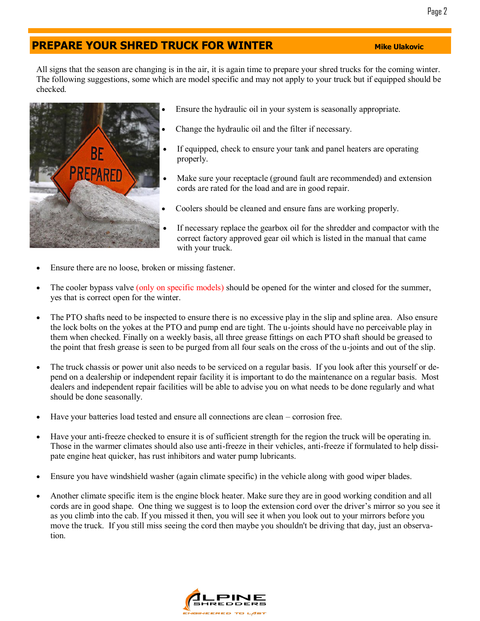### Page 2

# **PREPARE YOUR SHRED TRUCK FOR WINTER MINIMUM** Mike Ulakovic

All signs that the season are changing is in the air, it is again time to prepare your shred trucks for the coming winter. The following suggestions, some which are model specific and may not apply to your truck but if equipped should be checked.



- Ensure the hydraulic oil in your system is seasonally appropriate.
- Change the hydraulic oil and the filter if necessary.
- If equipped, check to ensure your tank and panel heaters are operating properly.
- Make sure your receptacle (ground fault are recommended) and extension cords are rated for the load and are in good repair.
- Coolers should be cleaned and ensure fans are working properly.
- If necessary replace the gearbox oil for the shredder and compactor with the correct factory approved gear oil which is listed in the manual that came with your truck.
- Ensure there are no loose, broken or missing fastener.
- The cooler bypass valve (only on specific models) should be opened for the winter and closed for the summer, yes that is correct open for the winter.
- The PTO shafts need to be inspected to ensure there is no excessive play in the slip and spline area. Also ensure the lock bolts on the yokes at the PTO and pump end are tight. The u-joints should have no perceivable play in them when checked. Finally on a weekly basis, all three grease fittings on each PTO shaft should be greased to the point that fresh grease is seen to be purged from all four seals on the cross of the u-joints and out of the slip.
- The truck chassis or power unit also needs to be serviced on a regular basis. If you look after this yourself or depend on a dealership or independent repair facility it is important to do the maintenance on a regular basis. Most dealers and independent repair facilities will be able to advise you on what needs to be done regularly and what should be done seasonally.
- Have your batteries load tested and ensure all connections are clean corrosion free.
- Have your anti-freeze checked to ensure it is of sufficient strength for the region the truck will be operating in. Those in the warmer climates should also use anti-freeze in their vehicles, anti-freeze if formulated to help dissipate engine heat quicker, has rust inhibitors and water pump lubricants.
- Ensure you have windshield washer (again climate specific) in the vehicle along with good wiper blades.
- Another climate specific item is the engine block heater. Make sure they are in good working condition and all cords are in good shape. One thing we suggest is to loop the extension cord over the driver's mirror so you see it as you climb into the cab. If you missed it then, you will see it when you look out to your mirrors before you move the truck. If you still miss seeing the cord then maybe you shouldn't be driving that day, just an observation.